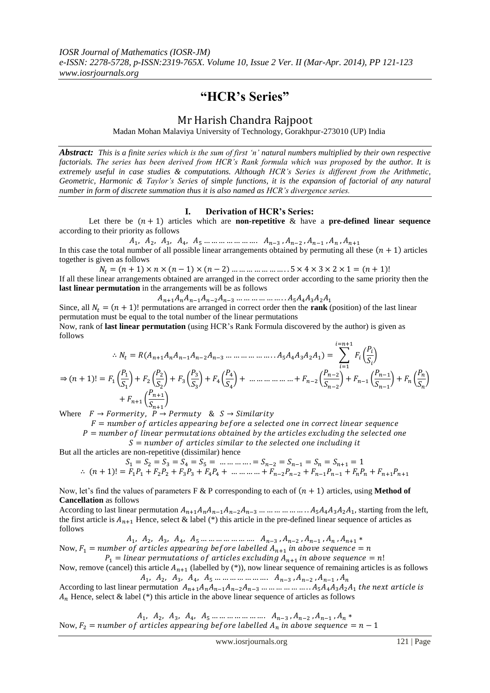# **"HCR"s Series"**

# Mr Harish Chandra Rajpoot

Madan Mohan Malaviya University of Technology, Gorakhpur-273010 (UP) India

*Abstract: This is a finite series which is the sum of first "n" natural numbers multiplied by their own respective factorials. The series has been derived from HCR"s Rank formula which was proposed by the author. It is extremely useful in case studies & computations. Although HCR"s Series is different from the Arithmetic, Geometric, Harmonic & Taylor"s Series of simple functions, it is the expansion of factorial of any natural number in form of discrete summation thus it is also named as HCR"s divergence series.*

# **I. Derivation of HCR"s Series:**

Let there be  $(n + 1)$  articles which are **non-repetitive** & have a **pre-defined linear sequence** according to their priority as follows

 In this case the total number of all possible linear arrangements obtained by permuting all these  $(n + 1)$  articles together is given as follows

 $N_t = (n + 1) \times n \times (n - 1) \times (n - 2) \dots \dots \dots \dots \dots \dots \dots 5 \times 4 \times 3 \times 2 \times 1 = (n + 1)!$ If all these linear arrangements obtained are arranged in the correct order according to the same priority then the **last linear permutation** in the arrangements will be as follows

 $A_{n+1}A_nA_{n-1}A_{n-2}A_{n-3}$  ... ... ... ... ... ...  $A_5A_4A_3A_2A_1$ 

Since, all  $N_t = (n + 1)!$  permutations are arranged in correct order then the **rank** (position) of the last linear permutation must be equal to the total number of the linear permutations

Now, rank of **last linear permutation** (using HCR"s Rank Formula discovered by the author) is given as follows

$$
\therefore N_t = R(A_{n+1}A_nA_{n-1}A_{n-2}A_{n-3}\dots\dots\dots\dots\dots\dots\dots A_5A_4A_3A_2A_1) = \sum_{i=1}^{i=n+1} F_i\left(\frac{P_i}{S_i}\right)
$$
  
\n
$$
\Rightarrow (n+1)! = F_1\left(\frac{P_1}{S_1}\right) + F_2\left(\frac{P_2}{S_2}\right) + F_3\left(\frac{P_3}{S_3}\right) + F_4\left(\frac{P_4}{S_4}\right) + \dots\dots\dots\dots\dots\dots\dots\dots + F_{n-2}\left(\frac{P_{n-2}}{S_{n-2}}\right) + F_{n-1}\left(\frac{P_{n-1}}{S_{n-1}}\right) + F_n\left(\frac{P_n}{S_n}\right)
$$
  
\n
$$
+ F_{n+1}\left(\frac{P_{n+1}}{S_{n+1}}\right)
$$

Where  $F \to F \text{or}$  *P*  $\to P$  *Permuty* &  $S \to S$  *imilarity* 

 $F =$  number of articles appearing before a selected one in correct linear sequence

 $P =$  number of linear permutations obtained by the articles excluding the selected one  $S =$  number of articles similar to the selected one including it

But all the articles are non-repetitive (dissimilar) hence

$$
S_1 = S_2 = S_3 = S_4 = S_5 = \dots \dots \dots \dots = S_{n-2} = S_{n-1} = S_n = S_{n+1} = 1
$$
  
\n
$$
\therefore (n+1)! = F_1 P_1 + F_2 P_2 + F_3 P_3 + F_4 P_4 + \dots \dots \dots \dots + F_{n-2} P_{n-2} + F_{n-1} P_{n-1} + F_n P_n + F_{n+1} P_{n+1}
$$

Now, let's find the values of parameters F & P corresponding to each of  $(n + 1)$  articles, using **Method of Cancellation** as follows

According to last linear permutation  $A_{n+1}A_nA_{n-1}A_{n-2}A_{n-3}$  ... ... ... ... ... ... ...  $A_5A_4A_3A_2A_1$ , starting from the left, the first article is  $A_{n+1}$  Hence, select & label (\*) this article in the pre-defined linear sequence of articles as follows

 $A_1, A_2, A_3, A_4, A_5 \dots \dots \dots \dots \dots \dots \dots A_{n-3}, A_{n-2}, A_{n-1}$ 

Now,  $F_1$  = number of articles appearing before labelled  $A_{n+1}$  i  $P_1 =$  linear permutations of articles excluding  $A_{n+1}$  i

Now, remove (cancel) this article  $A_{n+1}$  (labelled by (\*)), now linear sequence of remaining articles is as follows 

According to last linear permutation  $A_{n+1}A_nA_{n-1}A_{n-2}A_{n-3}$  ... ... ... ... ... ...  $A_5A_4A_3A_2A_1$  t  $A_n$  Hence, select & label (\*) this article in the above linear sequence of articles as follows

 Now,  $F_2$  = number of articles appearing before labelled  $A_n$  in above sequence =  $n-1$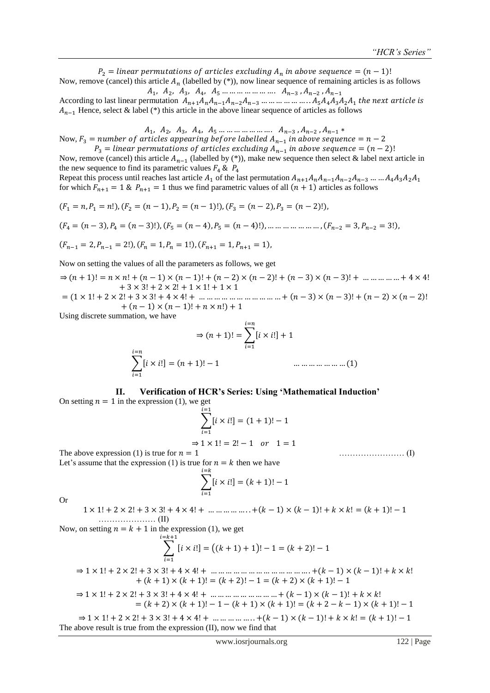$P_2 =$  linear permutations of articles excluding  $A_n$  in above sequence =  $(n - 1)!$ Now, remove (cancel) this article  $A_n$  (labelled by (\*)), now linear sequence of remaining articles is as follows  $A_1, A_2, A_3, A_4, A_5 \dots \dots \dots \dots \dots \dots A_{n-3}, A_{n-2}$ 

According to last linear permutation  $A_{n+1}A_nA_{n-1}A_{n-2}A_{n-3}$  ... ... ... ... ... ...  $A_5A_4A_3A_2A_1$  t  $A_{n-1}$  Hence, select & label (\*) this article in the above linear sequence of articles as follows

 $A_1, A_2, A_3, A_4, A_5 \dots \dots \dots \dots \dots \dots A_{n-3}, A_{n-2}$ Now,  $F_3$  = number of articles appearing before labelled  $A_{n-1}$  i  $P_3$  = linear permutations of articles excluding  $A_{n-1}$  in above sequence =  $(n-2)!$ 

Now, remove (cancel) this article  $A_{n-1}$  (labelled by (\*)), make new sequence then select & label next article in the new sequence to find its parametric values  $F_4 \& P_4$ 

Repeat this process until reaches last article  $A_1$  of the last permutation  $A_{n+1}A_nA_{n-1}A_{n-2}A_{n-3}$  ... ...  $A_4A_3A_2A_1$ for which  $F_{n+1} = 1$  &  $P_{n+1} = 1$  thus we find parametric values of all  $(n + 1)$  articles as follows

$$
(F_1 = n, P_1 = n!), (F_2 = (n - 1), P_2 = (n - 1)!), (F_3 = (n - 2), P_3 = (n - 2)!),
$$

$$
(F_4 = (n-3), P_4 = (n-3)!), (F_5 = (n-4), P_5 = (n-4)!), \dots \dots \dots \dots \dots \dots (F_{n-2} = 3, P_{n-2} = 3!).
$$

$$
(F_{n-1}=2, P_{n-1}=2!), (F_n=1, P_n=1!), (F_{n+1}=1, P_{n+1}=1),
$$

Now on setting the values of all the parameters as follows, we get

 $\Rightarrow (n+1)! = n \times n! + (n-1) \times (n-1)! + (n-2) \times (n-2)! + (n-3) \times (n-3)! + \dots + 4 \times 4!$  $+3 \times 3! + 2 \times 2! + 1 \times 1! + 1 \times 1$ 

 ( ( ) ( ) ( ) ( )  $+(n-1) \times (n-1)! + n \times n!) + 1$ 

Using discrete summation, we have

$$
\Rightarrow (n+1)! = \sum_{i=1}^{i=n} [i \times i!] + 1
$$
  

$$
\sum_{i=1}^{i=n} [i \times i!] = (n+1)! - 1
$$
 ................. (1)

## **II. Verification of HCR"s Series: Using "Mathematical Induction"**

On setting  $n = 1$  in the expression (1), we get  $\sum [ i \times i!]$ i i  $= (1 + 1)!$  $\Rightarrow$  1  $\times$  1! = 2! - 1 or 1 = 1 The above expression (1) is true for  $n = 1$  (1)

Let's assume that the expression (1) is true for  $n = k$  then we have

$$
\sum_{i=1}^{i=k} [i \times i!] = (k+1)! - 1
$$

Or

 $1 \times 1! + 2 \times 2! + 3 \times 3! + 4 \times 4! + \dots + (k-1) \times (k-1)! + k \times k! = (k+1)! - 1$ ………………… (II)

Now, on setting  $n = k + 1$  in the expression (1), we get

$$
\sum_{i=1}^{i=k+1} [i \times i!] = ((k+1)+1)! - 1 = (k+2)! - 1
$$

⇒ ( ) ( )  $+(k + 1) \times (k + 1)! = (k + 2)! - 1 = (k + 2) \times (k + 1)! - 1$ 

$$
\Rightarrow 1 \times 1! + 2 \times 2! + 3 \times 3! + 4 \times 4! + \dots + (k-1) \times (k-1)! + k \times k!
$$
  
= (k + 2) \times (k + 1)! - 1 - (k + 1) \times (k + 1)! = (k + 2 - k - 1) \times (k + 1)! - 1

 $\Rightarrow$  1 \times 1! + 2 \times 2! + 3 \times 3! + 4 \times 4! + ... ... ... ... .... + (k - 1) \times (k - 1)! + k \times k! = (k + 1)! - 1 The above result is true from the expression (II), now we find that